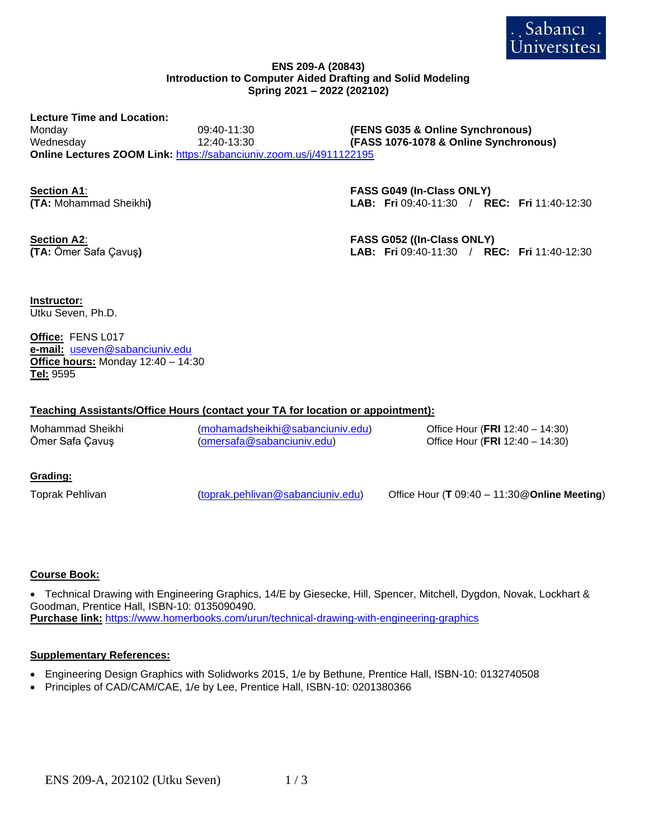

#### **ENS 209-A (20843) Introduction to Computer Aided Drafting and Solid Modeling Spring 2021 – 2022 (202102)**

**Lecture Time and Location:** Monday 09:40-11:30 **(FENS G035 & Online Synchronous)** Wednesday 12:40-13:30 **(FASS 1076-1078 & Online Synchronous) Online Lectures ZOOM Link:** <https://sabanciuniv.zoom.us/j/4911122195>

**Section A1**: **FASS G049 (In-Class ONLY) (TA:** Mohammad Sheikhi**) LAB: Fri** 09:40-11:30 / **REC: Fri** 11:40-12:30

**Section A2**: **FASS G052 ((In-Class ONLY) (TA:** Ömer Safa Çavuş**) LAB: Fri** 09:40-11:30 / **REC: Fri** 11:40-12:30

**Instructor:** Utku Seven, Ph.D.

**Office:** FENS L017 **e-mail:** [useven@sabanciuniv.edu](mailto:useven@sabanciuniv.edu) **Office hours:** Monday 12:40 – 14:30 **Tel:** 9595

## **Teaching Assistants/Office Hours (contact your TA for location or appointment):**

Mohammad Sheikhi ([mohamadsheikhi@sabanciuniv.edu](mailto:mohamadsheikhi@sabanciuniv.edu)) Office Hour (**FRI** 12:40 – 14:30) Ömer Safa Çavuş ([omersafa@sabanciuniv.edu](mailto:omersafa@sabanciuniv.edu)) Office Hour (**FRI** 12:40 – 14:30)

### **Grading:**

Toprak Pehlivan ([toprak.pehlivan@sabanciuniv.edu](mailto:toprak.pehlivan@sabanciuniv.edu)) Office Hour (**T** 09:40 – 11:30@**Online Meeting**)

# **Course Book:**

• Technical Drawing with Engineering Graphics, 14/E by Giesecke, Hill, Spencer, Mitchell, Dygdon, Novak, Lockhart & Goodman, Prentice Hall, ISBN-10: 0135090490. **Purchase link:** <https://www.homerbooks.com/urun/technical-drawing-with-engineering-graphics>

### **Supplementary References:**

- Engineering Design Graphics with Solidworks 2015, 1/e by Bethune, Prentice Hall, ISBN-10: 0132740508
- Principles of CAD/CAM/CAE, 1/e by Lee, Prentice Hall, ISBN-10: 0201380366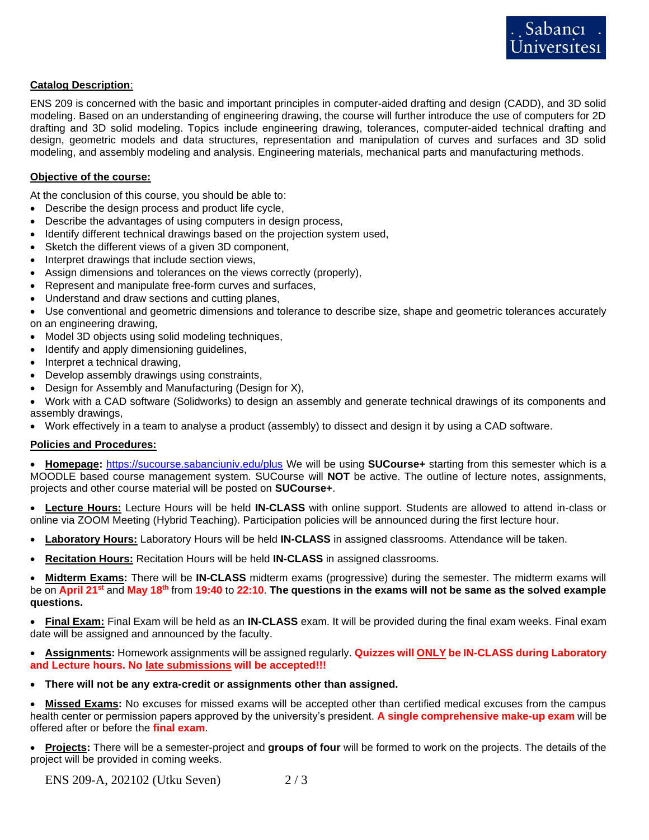# **Catalog Description**:

ENS 209 is concerned with the basic and important principles in computer-aided drafting and design (CADD), and 3D solid modeling. Based on an understanding of engineering drawing, the course will further introduce the use of computers for 2D drafting and 3D solid modeling. Topics include engineering drawing, tolerances, computer-aided technical drafting and design, geometric models and data structures, representation and manipulation of curves and surfaces and 3D solid modeling, and assembly modeling and analysis. Engineering materials, mechanical parts and manufacturing methods.

## **Objective of the course:**

At the conclusion of this course, you should be able to:

- Describe the design process and product life cycle,
- Describe the advantages of using computers in design process,
- Identify different technical drawings based on the projection system used,
- Sketch the different views of a given 3D component,
- Interpret drawings that include section views,
- Assign dimensions and tolerances on the views correctly (properly),
- Represent and manipulate free-form curves and surfaces,
- Understand and draw sections and cutting planes,

• Use conventional and geometric dimensions and tolerance to describe size, shape and geometric tolerances accurately on an engineering drawing,

- Model 3D objects using solid modeling techniques,
- Identify and apply dimensioning guidelines,
- Interpret a technical drawing,
- Develop assembly drawings using constraints,
- Design for Assembly and Manufacturing (Design for X),
- Work with a CAD software (Solidworks) to design an assembly and generate technical drawings of its components and assembly drawings,
- Work effectively in a team to analyse a product (assembly) to dissect and design it by using a CAD software.

### **Policies and Procedures:**

• **Homepage:** <https://sucourse.sabanciuniv.edu/plus> We will be using **SUCourse+** starting from this semester which is a MOODLE based course management system. SUCourse will **NOT** be active. The outline of lecture notes, assignments, projects and other course material will be posted on **SUCourse+**.

• **Lecture Hours:** Lecture Hours will be held **IN-CLASS** with online support. Students are allowed to attend in-class or online via ZOOM Meeting (Hybrid Teaching). Participation policies will be announced during the first lecture hour.

- **Laboratory Hours:** Laboratory Hours will be held **IN-CLASS** in assigned classrooms. Attendance will be taken.
- **Recitation Hours:** Recitation Hours will be held **IN-CLASS** in assigned classrooms.

• **Midterm Exams:** There will be **IN-CLASS** midterm exams (progressive) during the semester. The midterm exams will be on **April 21st** and **May 18th** from **19:40** to **22:10**. **The questions in the exams will not be same as the solved example questions.** 

• **Final Exam:** Final Exam will be held as an **IN-CLASS** exam. It will be provided during the final exam weeks. Final exam date will be assigned and announced by the faculty.

• **Assignments:** Homework assignments will be assigned regularly. **Quizzes will ONLY be IN-CLASS during Laboratory and Lecture hours. No late submissions will be accepted!!!**

• **There will not be any extra-credit or assignments other than assigned.**

• **Missed Exams:** No excuses for missed exams will be accepted other than certified medical excuses from the campus health center or permission papers approved by the university's president. **A single comprehensive make-up exam** will be offered after or before the **final exam**.

• **Projects:** There will be a semester-project and **groups of four** will be formed to work on the projects. The details of the project will be provided in coming weeks.

ENS 209-A, 202102 (Utku Seven) 2 / 3